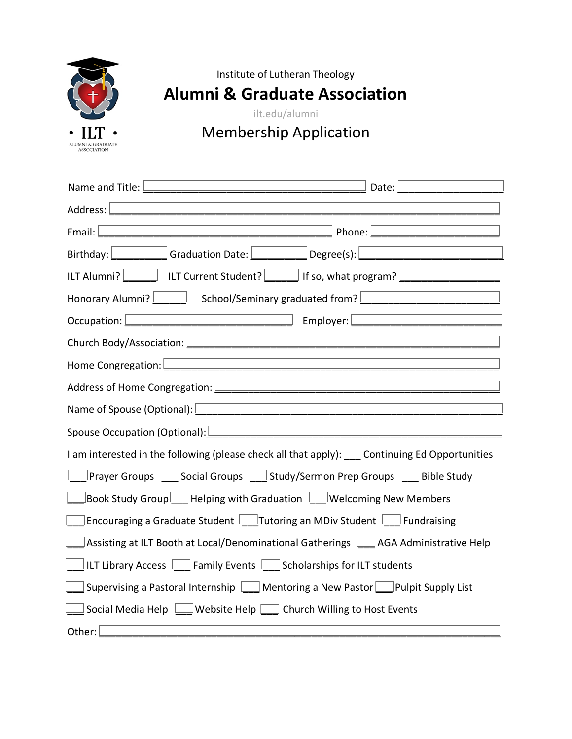

Institute of Lutheran Theology

**Alumni & Graduate Association**

ilt.edu/alumni

## Membership Application

| Name and Title: $\Box$<br>Date:                                                                                                                                                                       |
|-------------------------------------------------------------------------------------------------------------------------------------------------------------------------------------------------------|
|                                                                                                                                                                                                       |
| Phone: $\lfloor$<br>Email: $\Box$<br><u> 1980 - Johann Barn, mars ann an t-Amhain Aonaich an t-Aonaich an t-Aonaich ann an t-Aonaich ann an t-Aonaich</u>                                             |
| Birthday: Graduation Date: Degree(s):                                                                                                                                                                 |
|                                                                                                                                                                                                       |
| Honorary Alumni? School/Seminary graduated from?                                                                                                                                                      |
| Employer: 2000 2000 2010 2010 2010 2010 2011 2021 2021 2021 2021 2022 2023                                                                                                                            |
| Church Body/Association: <u>December 2008</u>                                                                                                                                                         |
|                                                                                                                                                                                                       |
| <u> 1980 - Johann Barbara, martin amerikan basal dan berasal dalam basal dalam basal dalam basal dalam basal dala</u><br>Address of Home Congregation: Letter and the contract of the Congregation:   |
| <u> 1989 - Johann Barbara, martin da basar a</u><br>Name of Spouse (Optional): University of the Spouse of Spouse (Optional):                                                                         |
| <u> 1989 - Johann Stein, mars an deutscher Stein und der Stein und der Stein und der Stein und der Stein und der</u><br>Spouse Occupation (Optional): <u>Communication and Contract Communication</u> |
| I am interested in the following (please check all that apply): $\lfloor$ Continuing Ed Opportunities                                                                                                 |
| Prayer Groups Social Groups Study/Sermon Prep Groups Bible Study                                                                                                                                      |
| Book Study Group Helping with Graduation Welcoming New Members                                                                                                                                        |
| Encouraging a Graduate Student Intutoring an MDiv Student Intundraising                                                                                                                               |
| Assisting at ILT Booth at Local/Denominational Gatherings Land AGA Administrative Help                                                                                                                |
| ILT Library Access <b>Legal Family Events</b> Scholarships for ILT students                                                                                                                           |
| Supervising a Pastoral Internship Mentoring a New Pastor Pulpit Supply List                                                                                                                           |
| Social Media Help $\Box$ Website Help $\Box$ Church Willing to Host Events                                                                                                                            |
| Other:                                                                                                                                                                                                |